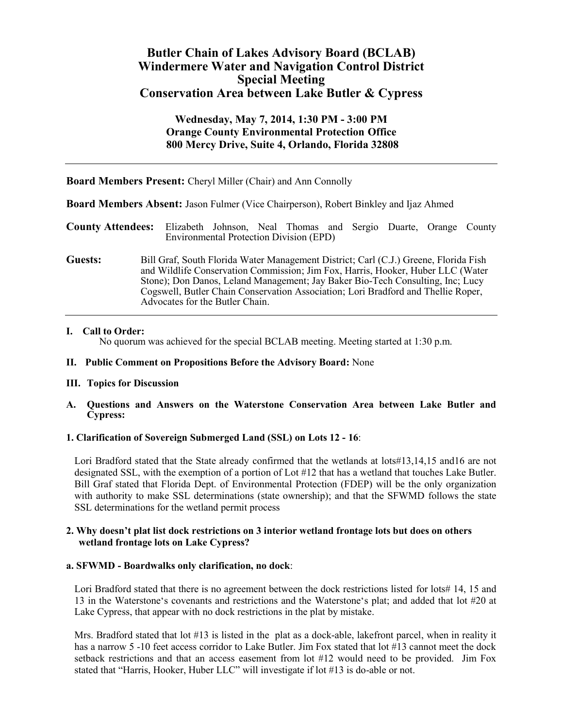# **Butler Chain of Lakes Advisory Board (BCLAB) Windermere Water and Navigation Control District Special Meeting Conservation Area between Lake Butler & Cypress**

# **Wednesday, May 7, 2014, 1:30 PM - 3:00 PM Orange County Environmental Protection Office 800 Mercy Drive, Suite 4, Orlando, Florida 32808**

| <b>Board Members Present:</b> Cheryl Miller (Chair) and Ann Connolly |  |  |  |
|----------------------------------------------------------------------|--|--|--|
|----------------------------------------------------------------------|--|--|--|

**Board Members Absent:** Jason Fulmer (Vice Chairperson), Robert Binkley and Ijaz Ahmed

**County Attendees:** Elizabeth Johnson, Neal Thomas and Sergio Duarte, Orange County Environmental Protection Division (EPD)

**Guests:** Bill Graf, South Florida Water Management District; Carl (C.J.) Greene, Florida Fish and Wildlife Conservation Commission; Jim Fox, Harris, Hooker, Huber LLC (Water Stone); Don Danos, Leland Management; Jay Baker Bio-Tech Consulting, Inc; Lucy Cogswell, Butler Chain Conservation Association; Lori Bradford and Thellie Roper, Advocates for the Butler Chain.

## **I. Call to Order:**

No quorum was achieved for the special BCLAB meeting. Meeting started at 1:30 p.m.

### **II. Public Comment on Propositions Before the Advisory Board:** None

## **III. Topics for Discussion**

**A. Questions and Answers on the Waterstone Conservation Area between Lake Butler and Cypress:**

## **1. Clarification of Sovereign Submerged Land (SSL) on Lots 12 - 16**:

Lori Bradford stated that the State already confirmed that the wetlands at lots#13,14,15 and16 are not designated SSL, with the exemption of a portion of Lot #12 that has a wetland that touches Lake Butler. Bill Graf stated that Florida Dept. of Environmental Protection (FDEP) will be the only organization with authority to make SSL determinations (state ownership); and that the SFWMD follows the state SSL determinations for the wetland permit process

## **2. Why doesn't plat list dock restrictions on 3 interior wetland frontage lots but does on others wetland frontage lots on Lake Cypress?**

### **a. SFWMD - Boardwalks only clarification, no dock**:

Lori Bradford stated that there is no agreement between the dock restrictions listed for lots# 14, 15 and 13 in the Waterstone's covenants and restrictions and the Waterstone's plat; and added that lot #20 at Lake Cypress, that appear with no dock restrictions in the plat by mistake.

Mrs. Bradford stated that lot #13 is listed in the plat as a dock-able, lakefront parcel, when in reality it has a narrow 5 -10 feet access corridor to Lake Butler. Jim Fox stated that lot #13 cannot meet the dock setback restrictions and that an access easement from lot #12 would need to be provided. Jim Fox stated that "Harris, Hooker, Huber LLC" will investigate if lot #13 is do-able or not.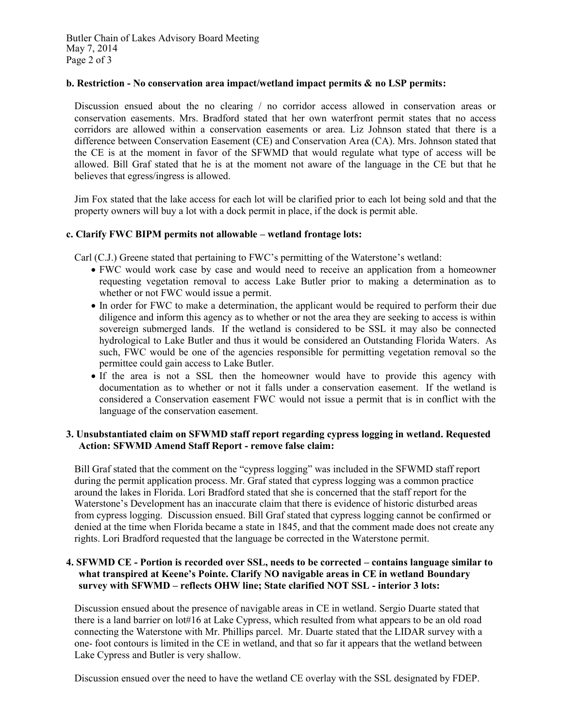# **b. Restriction - No conservation area impact/wetland impact permits & no LSP permits:**

Discussion ensued about the no clearing / no corridor access allowed in conservation areas or conservation easements. Mrs. Bradford stated that her own waterfront permit states that no access corridors are allowed within a conservation easements or area. Liz Johnson stated that there is a difference between Conservation Easement (CE) and Conservation Area (CA). Mrs. Johnson stated that the CE is at the moment in favor of the SFWMD that would regulate what type of access will be allowed. Bill Graf stated that he is at the moment not aware of the language in the CE but that he believes that egress/ingress is allowed.

Jim Fox stated that the lake access for each lot will be clarified prior to each lot being sold and that the property owners will buy a lot with a dock permit in place, if the dock is permit able.

## **c. Clarify FWC BIPM permits not allowable – wetland frontage lots:**

Carl (C.J.) Greene stated that pertaining to FWC's permitting of the Waterstone's wetland:

- FWC would work case by case and would need to receive an application from a homeowner requesting vegetation removal to access Lake Butler prior to making a determination as to whether or not FWC would issue a permit.
- In order for FWC to make a determination, the applicant would be required to perform their due diligence and inform this agency as to whether or not the area they are seeking to access is within sovereign submerged lands. If the wetland is considered to be SSL it may also be connected hydrological to Lake Butler and thus it would be considered an Outstanding Florida Waters. As such, FWC would be one of the agencies responsible for permitting vegetation removal so the permittee could gain access to Lake Butler.
- If the area is not a SSL then the homeowner would have to provide this agency with documentation as to whether or not it falls under a conservation easement. If the wetland is considered a Conservation easement FWC would not issue a permit that is in conflict with the language of the conservation easement.

## **3. Unsubstantiated claim on SFWMD staff report regarding cypress logging in wetland. Requested Action: SFWMD Amend Staff Report - remove false claim:**

Bill Graf stated that the comment on the "cypress logging" was included in the SFWMD staff report during the permit application process. Mr. Graf stated that cypress logging was a common practice around the lakes in Florida. Lori Bradford stated that she is concerned that the staff report for the Waterstone's Development has an inaccurate claim that there is evidence of historic disturbed areas from cypress logging. Discussion ensued. Bill Graf stated that cypress logging cannot be confirmed or denied at the time when Florida became a state in 1845, and that the comment made does not create any rights. Lori Bradford requested that the language be corrected in the Waterstone permit.

## **4. SFWMD CE - Portion is recorded over SSL, needs to be corrected – contains language similar to what transpired at Keene's Pointe. Clarify NO navigable areas in CE in wetland Boundary survey with SFWMD – reflects OHW line; State clarified NOT SSL - interior 3 lots:**

Discussion ensued about the presence of navigable areas in CE in wetland. Sergio Duarte stated that there is a land barrier on lot#16 at Lake Cypress, which resulted from what appears to be an old road connecting the Waterstone with Mr. Phillips parcel. Mr. Duarte stated that the LIDAR survey with a one- foot contours is limited in the CE in wetland, and that so far it appears that the wetland between Lake Cypress and Butler is very shallow.

Discussion ensued over the need to have the wetland CE overlay with the SSL designated by FDEP.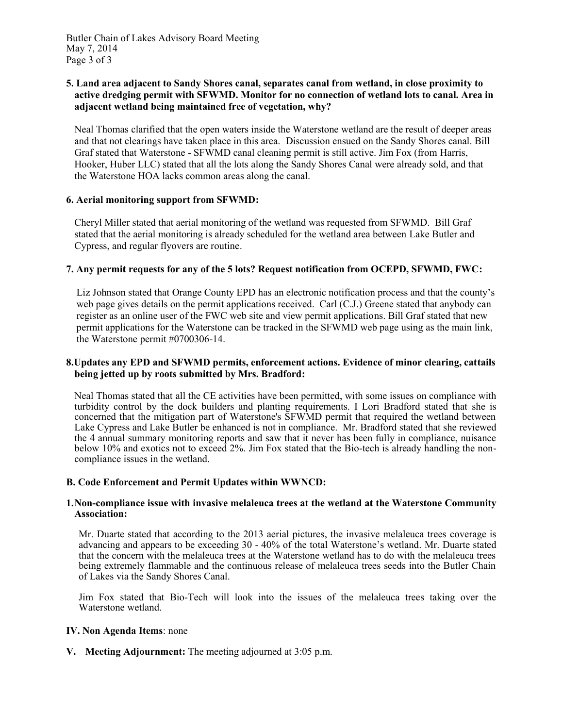## **5. Land area adjacent to Sandy Shores canal, separates canal from wetland, in close proximity to active dredging permit with SFWMD. Monitor for no connection of wetland lots to canal. Area in adjacent wetland being maintained free of vegetation, why?**

Neal Thomas clarified that the open waters inside the Waterstone wetland are the result of deeper areas and that not clearings have taken place in this area. Discussion ensued on the Sandy Shores canal. Bill Graf stated that Waterstone - SFWMD canal cleaning permit is still active. Jim Fox (from Harris, Hooker, Huber LLC) stated that all the lots along the Sandy Shores Canal were already sold, and that the Waterstone HOA lacks common areas along the canal.

## **6. Aerial monitoring support from SFWMD:**

Cheryl Miller stated that aerial monitoring of the wetland was requested from SFWMD. Bill Graf stated that the aerial monitoring is already scheduled for the wetland area between Lake Butler and Cypress, and regular flyovers are routine.

# **7. Any permit requests for any of the 5 lots? Request notification from OCEPD, SFWMD, FWC:**

Liz Johnson stated that Orange County EPD has an electronic notification process and that the county's web page gives details on the permit applications received. Carl (C.J.) Greene stated that anybody can register as an online user of the FWC web site and view permit applications. Bill Graf stated that new permit applications for the Waterstone can be tracked in the SFWMD web page using as the main link, the Waterstone permit #0700306-14.

## **8.Updates any EPD and SFWMD permits, enforcement actions. Evidence of minor clearing, cattails being jetted up by roots submitted by Mrs. Bradford:**

Neal Thomas stated that all the CE activities have been permitted, with some issues on compliance with turbidity control by the dock builders and planting requirements. I Lori Bradford stated that she is concerned that the mitigation part of Waterstone's SFWMD permit that required the wetland between Lake Cypress and Lake Butler be enhanced is not in compliance. Mr. Bradford stated that she reviewed the 4 annual summary monitoring reports and saw that it never has been fully in compliance, nuisance below 10% and exotics not to exceed 2%. Jim Fox stated that the Bio-tech is already handling the non compliance issues in the wetland.

## **B. Code Enforcement and Permit Updates within WWNCD:**

## **1.Non-compliance issue with invasive melaleuca trees at the wetland at the Waterstone Community Association:**

Mr. Duarte stated that according to the 2013 aerial pictures, the invasive melaleuca trees coverage is advancing and appears to be exceeding 30 - 40% of the total Waterstone's wetland. Mr. Duarte stated that the concern with the melaleuca trees at the Waterstone wetland has to do with the melaleuca trees being extremely flammable and the continuous release of melaleuca trees seeds into the Butler Chain of Lakes via the Sandy Shores Canal.

Jim Fox stated that Bio-Tech will look into the issues of the melaleuca trees taking over the Waterstone wetland.

## **IV. Non Agenda Items**: none

**V. Meeting Adjournment:** The meeting adjourned at 3:05 p.m.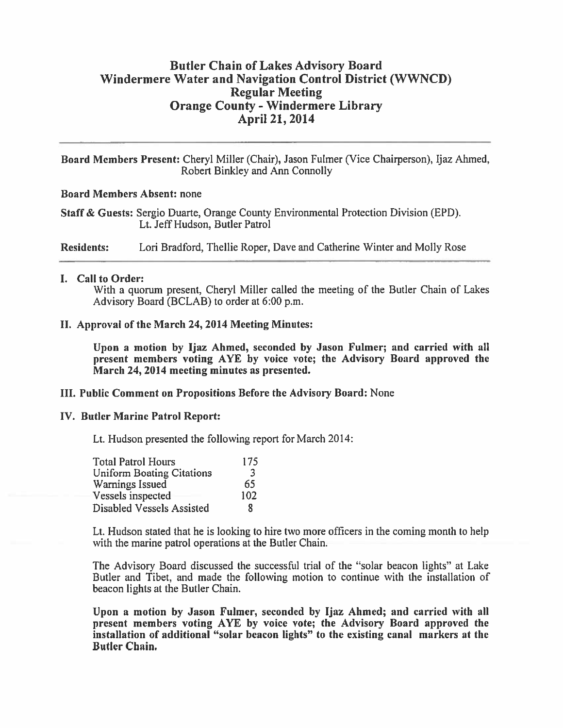# **Butler Chain of Lakes Advisory Board** Windermere Water and Navigation Control District (WWNCD) **Regular Meeting Orange County - Windermere Library** April 21, 2014

Board Members Present: Cheryl Miller (Chair), Jason Fulmer (Vice Chairperson), Ijaz Ahmed, Robert Binkley and Ann Connolly

## **Board Members Absent: none**

Staff & Guests: Sergio Duarte, Orange County Environmental Protection Division (EPD). Lt. Jeff Hudson, Butler Patrol

**Residents:** Lori Bradford, Thellie Roper, Dave and Catherine Winter and Molly Rose

# I. Call to Order:

With a quorum present, Cheryl Miller called the meeting of the Butler Chain of Lakes Advisory Board (BCLAB) to order at 6:00 p.m.

# II. Approval of the March 24, 2014 Meeting Minutes:

Upon a motion by Ijaz Ahmed, seconded by Jason Fulmer; and carried with all present members voting AYE by voice vote; the Advisory Board approved the March 24, 2014 meeting minutes as presented.

## III. Public Comment on Propositions Before the Advisory Board: None

## **IV. Butler Marine Patrol Report:**

Lt. Hudson presented the following report for March 2014:

| <b>Total Patrol Hours</b>        | 175 |
|----------------------------------|-----|
| <b>Uniform Boating Citations</b> | 3   |
| <b>Warnings Issued</b>           | 65  |
| Vessels inspected                | 102 |
| Disabled Vessels Assisted        | я   |

Lt. Hudson stated that he is looking to hire two more officers in the coming month to help with the marine patrol operations at the Butler Chain.

The Advisory Board discussed the successful trial of the "solar beacon lights" at Lake Butler and Tibet, and made the following motion to continue with the installation of beacon lights at the Butler Chain.

Upon a motion by Jason Fulmer, seconded by Ijaz Ahmed; and carried with all present members voting AYE by voice vote; the Advisory Board approved the installation of additional "solar beacon lights" to the existing canal markers at the **Butler Chain.**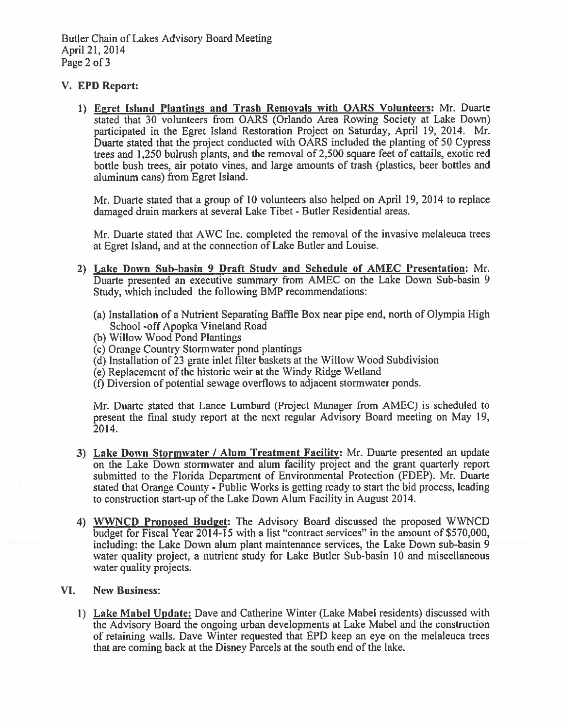# V. EPD Report:

1) Egret Island Plantings and Trash Removals with OARS Volunteers: Mr. Duarte stated that 30 volunteers from OARS (Orlando Area Rowing Society at Lake Down) participated in the Egret Island Restoration Project on Saturday, April 19, 2014. Mr. Duarte stated that the project conducted with OARS included the planting of 50 Cypress trees and 1,250 bulrush plants, and the removal of 2,500 square feet of cattails, exotic red bottle bush trees, air potato vines, and large amounts of trash (plastics, beer bottles and aluminum cans) from Egret Island.

Mr. Duarte stated that a group of 10 volunteers also helped on April 19, 2014 to replace damaged drain markers at several Lake Tibet - Butler Residential areas.

Mr. Duarte stated that AWC Inc. completed the removal of the invasive melaleuca trees at Egret Island, and at the connection of Lake Butler and Louise.

- 2) Lake Down Sub-basin 9 Draft Study and Schedule of AMEC Presentation: Mr. Duarte presented an executive summary from AMEC on the Lake Down Sub-basin 9 Study, which included the following BMP recommendations:
	- (a) Installation of a Nutrient Separating Baffle Box near pipe end, north of Olympia High School -off Apopka Vineland Road
	- (b) Willow Wood Pond Plantings
	- (c) Orange Country Stormwater pond plantings
	- (d) Installation of 23 grate inlet filter baskets at the Willow Wood Subdivision
	- (e) Replacement of the historic weir at the Windy Ridge Wetland
	- (f) Diversion of potential sewage overflows to adjacent stormwater ponds.

Mr. Duarte stated that Lance Lumbard (Project Manager from AMEC) is scheduled to present the final study report at the next regular Advisory Board meeting on May 19, 2014.

- 3) Lake Down Stormwater / Alum Treatment Facility: Mr. Duarte presented an update on the Lake Down stormwater and alum facility project and the grant quarterly report submitted to the Florida Department of Environmental Protection (FDEP). Mr. Duarte stated that Orange County - Public Works is getting ready to start the bid process, leading to construction start-up of the Lake Down Alum Facility in August 2014.
- 4) WWNCD Proposed Budget: The Advisory Board discussed the proposed WWNCD budget for Fiscal Year 2014-15 with a list "contract services" in the amount of \$570,000, including: the Lake Down alum plant maintenance services, the Lake Down sub-basin 9 water quality project, a nutrient study for Lake Butler Sub-basin 10 and miscellaneous water quality projects.

#### VI. **New Business:**

1) Lake Mabel Update: Dave and Catherine Winter (Lake Mabel residents) discussed with the Advisory Board the ongoing urban developments at Lake Mabel and the construction of retaining walls. Dave Winter requested that EPD keep an eye on the melaleuca trees that are coming back at the Disney Parcels at the south end of the lake.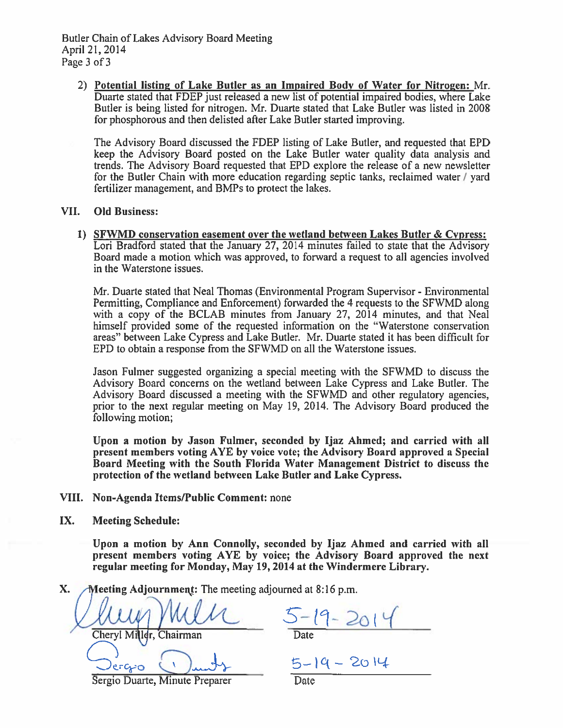2) Potential listing of Lake Butler as an Impaired Body of Water for Nitrogen: Mr. Duarte stated that FDEP just released a new list of potential impaired bodies, where Lake Butler is being listed for nitrogen. Mr. Duarte stated that Lake Butler was listed in 2008 for phosphorous and then delisted after Lake Butler started improving.

The Advisory Board discussed the FDEP listing of Lake Butler, and requested that EPD keep the Advisory Board posted on the Lake Butler water quality data analysis and trends. The Advisory Board requested that EPD explore the release of a new newsletter for the Butler Chain with more education regarding septic tanks, reclaimed water / yard fertilizer management, and BMPs to protect the lakes.

#### VII. **Old Business:**

1) SFWMD conservation easement over the wetland between Lakes Butler & Cypress: Lori Bradford stated that the January 27, 2014 minutes failed to state that the Advisory Board made a motion which was approved, to forward a request to all agencies involved in the Waterstone issues.

Mr. Duarte stated that Neal Thomas (Environmental Program Supervisor - Environmental Permitting, Compliance and Enforcement) forwarded the 4 requests to the SFWMD along with a copy of the BCLAB minutes from January 27, 2014 minutes, and that Neal himself provided some of the requested information on the "Waterstone conservation" areas" between Lake Cypress and Lake Butler. Mr. Duarte stated it has been difficult for EPD to obtain a response from the SFWMD on all the Waterstone issues.

Jason Fulmer suggested organizing a special meeting with the SFWMD to discuss the Advisory Board concerns on the wetland between Lake Cypress and Lake Butler. The Advisory Board discussed a meeting with the SFWMD and other regulatory agencies, prior to the next regular meeting on May 19, 2014. The Advisory Board produced the following motion;

Upon a motion by Jason Fulmer, seconded by Ijaz Ahmed; and carried with all present members voting AYE by voice vote; the Advisory Board approved a Special Board Meeting with the South Florida Water Management District to discuss the protection of the wetland between Lake Butler and Lake Cypress.

VIII. Non-Agenda Items/Public Comment: none

IX. **Meeting Schedule:** 

> Upon a motion by Ann Connolly, seconded by Ijaz Ahmed and carried with all present members voting AYE by voice; the Advisory Board approved the next regular meeting for Monday, May 19, 2014 at the Windermere Library.

Meeting Adjournment: The meeting adjourned at 8:16 p.m. X.

Chairman Cheryl Mi

 $5 - 19 - 2014$ 

Sergio Duarte, Minute Preparer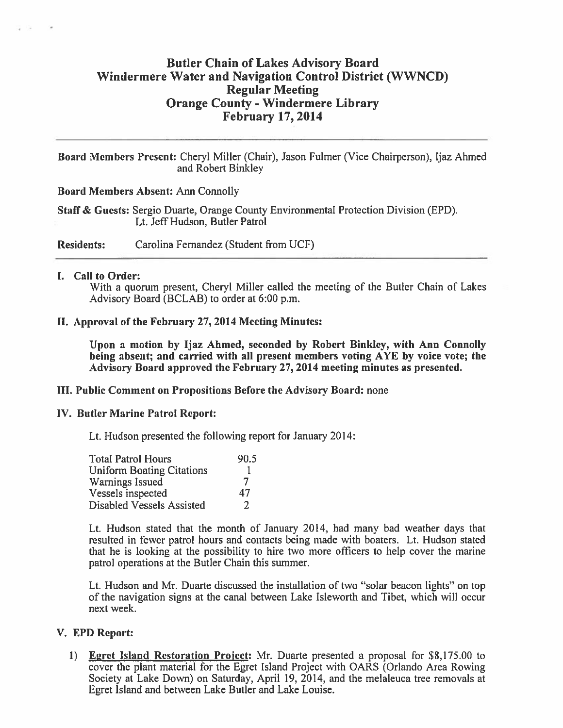# **Butler Chain of Lakes Advisory Board Windermere Water and Navigation Control District (WWNCD) Regular Meeting Orange County - Windermere Library February 17, 2014**

Board Members Present: Cheryl Miller (Chair), Jason Fulmer (Vice Chairperson), Ijaz Ahmed and Robert Binkley

**Board Members Absent: Ann Connolly** 

Staff & Guests: Sergio Duarte, Orange County Environmental Protection Division (EPD). Lt. Jeff Hudson, Butler Patrol

**Residents:** Carolina Fernandez (Student from UCF)

## I. Call to Order:

With a quorum present, Cheryl Miller called the meeting of the Butler Chain of Lakes Advisory Board (BCLAB) to order at 6:00 p.m.

## II. Approval of the February 27, 2014 Meeting Minutes:

Upon a motion by Ijaz Ahmed, seconded by Robert Binkley, with Ann Connolly being absent; and carried with all present members voting AYE by voice vote; the Advisory Board approved the February 27, 2014 meeting minutes as presented.

# **III. Public Comment on Propositions Before the Advisory Board: none**

## **IV. Butler Marine Patrol Report:**

Lt. Hudson presented the following report for January 2014:

| <b>Total Patrol Hours</b>        | 90.5 |
|----------------------------------|------|
| <b>Uniform Boating Citations</b> |      |
| Warnings Issued                  | 7    |
| Vessels inspected                | 47   |
| Disabled Vessels Assisted        | 7    |

Lt. Hudson stated that the month of January 2014, had many bad weather days that resulted in fewer patrol hours and contacts being made with boaters. Lt. Hudson stated that he is looking at the possibility to hire two more officers to help cover the marine patrol operations at the Butler Chain this summer.

Lt. Hudson and Mr. Duarte discussed the installation of two "solar beacon lights" on top of the navigation signs at the canal between Lake Isleworth and Tibet, which will occur next week.

## V. EPD Report:

1) Egret Island Restoration Project: Mr. Duarte presented a proposal for \$8,175.00 to cover the plant material for the Egret Island Project with OARS (Orlando Area Rowing Society at Lake Down) on Saturday, April 19, 2014, and the melaleuca tree removals at Egret Island and between Lake Butler and Lake Louise.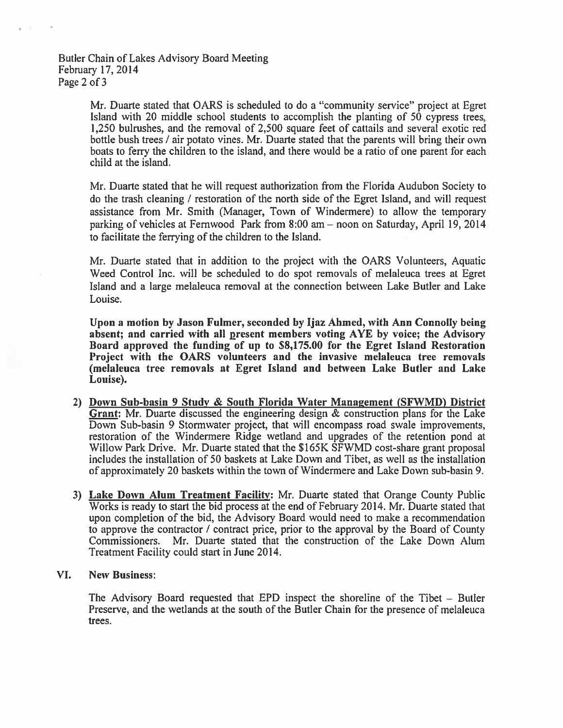# Butler Chain of Lakes Advisory Board Meeting February 17, 2014 Page 2 of 3

Mr. Duarte stated that OARS is scheduled to do a "community service" project at Egret Island with 20 middle school students to accomplish the planting of 50 cypress trees, 1,250 bulrushes, and the removal of 2,500 square feet of cattails and several exotic red bottle bush trees / air potato vines. Mr. Duarte stated that the parents will bring their own boats to ferry the children to the island, and there would be a ratio of one parent for each child at the island.

Mr. Duarte stated that he will request authorization from the Florida Audubon Society to do the trash cleaning / restoration of the north side of the Egret Island, and will request assistance from Mr. Smith (Manager, Town of Windermere) to allow the temporary parking of vehicles at Fernwood Park from 8:00 am - noon on Saturday, April 19, 2014 to facilitate the ferrying of the children to the Island.

Mr. Duarte stated that in addition to the project with the OARS Volunteers, Aquatic Weed Control Inc. will be scheduled to do spot removals of melaleuca trees at Egret Island and a large melaleuca removal at the connection between Lake Butler and Lake Louise.

Upon a motion by Jason Fulmer, seconded by Ijaz Ahmed, with Ann Connolly being absent; and carried with all present members voting AYE by voice; the Advisory Board approved the funding of up to \$8,175.00 for the Egret Island Restoration Project with the OARS volunteers and the invasive melaleuca tree removals (melaleuca tree removals at Egret Island and between Lake Butler and Lake Louise).

- 2) Down Sub-basin 9 Study & South Florida Water Management (SFWMD) District Grant: Mr. Duarte discussed the engineering design  $\&$  construction plans for the Lake Down Sub-basin 9 Stormwater project, that will encompass road swale improvements, restoration of the Windermere Ridge wetland and upgrades of the retention pond at Willow Park Drive. Mr. Duarte stated that the \$165K SFWMD cost-share grant proposal includes the installation of 50 baskets at Lake Down and Tibet, as well as the installation of approximately 20 baskets within the town of Windermere and Lake Down sub-basin 9.
- 3) Lake Down Alum Treatment Facility: Mr. Duarte stated that Orange County Public Works is ready to start the bid process at the end of February 2014. Mr. Duarte stated that upon completion of the bid, the Advisory Board would need to make a recommendation to approve the contractor / contract price, prior to the approval by the Board of County Commissioners. Mr. Duarte stated that the construction of the Lake Down Alum Treatment Facility could start in June 2014.

#### VI. **New Business:**

The Advisory Board requested that EPD inspect the shoreline of the Tibet – Butler Preserve, and the wetlands at the south of the Butler Chain for the presence of melaleuca trees.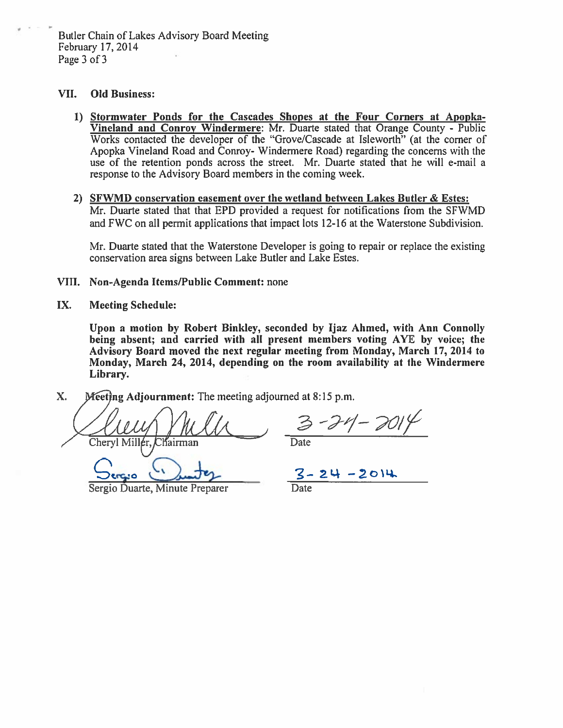Butler Chain of Lakes Advisory Board Meeting February 17, 2014 Page 3 of 3

#### VII. **Old Business:**

- 1) Stormwater Ponds for the Cascades Shopes at the Four Corners at Apopka-Vineland and Conroy Windermere: Mr. Duarte stated that Orange County - Public Works contacted the developer of the "Grove/Cascade at Isleworth" (at the corner of Apopka Vineland Road and Conroy- Windermere Road) regarding the concerns with the use of the retention ponds across the street. Mr. Duarte stated that he will e-mail a response to the Advisory Board members in the coming week.
- 2) SFWMD conservation easement over the wetland between Lakes Butler & Estes: Mr. Duarte stated that that EPD provided a request for notifications from the SFWMD and FWC on all permit applications that impact lots 12-16 at the Waterstone Subdivision.

Mr. Duarte stated that the Waterstone Developer is going to repair or replace the existing conservation area signs between Lake Butler and Lake Estes.

## VIII. Non-Agenda Items/Public Comment: none

#### IX. **Meeting Schedule:**

Upon a motion by Robert Binkley, seconded by Ijaz Ahmed, with Ann Connolly being absent; and carried with all present members voting AYE by voice; the Advisory Board moved the next regular meeting from Monday, March 17, 2014 to Monday, March 24, 2014, depending on the room availability at the Windermere Library.

X. Meeting Adjournment: The meeting adjourned at 8:15 p.m.

Chervl Miller. Clíairman

 $3 - 24 - 2014$ 

Sergio Duarte, Minute Preparer

 $\frac{3-24-2014}{\text{Date}}$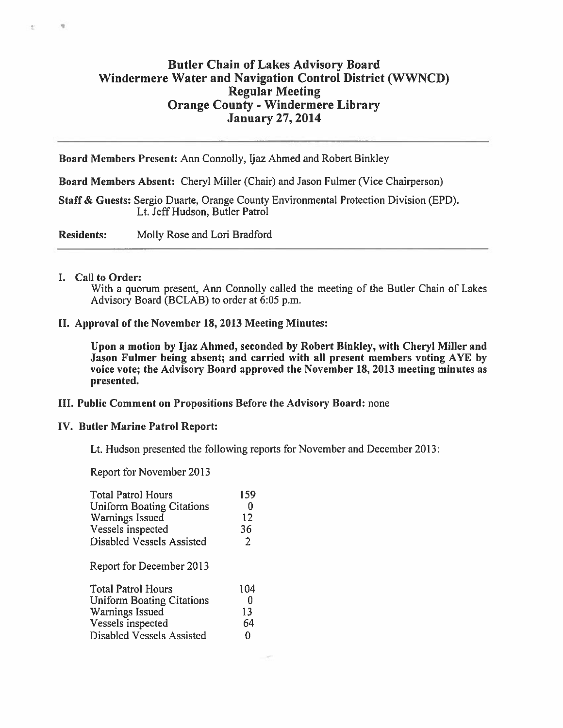# **Butler Chain of Lakes Advisory Board Windermere Water and Navigation Control District (WWNCD) Regular Meeting Orange County - Windermere Library January 27, 2014**

Board Members Present: Ann Connolly, Ijaz Ahmed and Robert Binkley

Board Members Absent: Cheryl Miller (Chair) and Jason Fulmer (Vice Chairperson)

Staff & Guests: Sergio Duarte, Orange County Environmental Protection Division (EPD). Lt. Jeff Hudson, Butler Patrol

**Residents:** Molly Rose and Lori Bradford

## I. Call to Order:

度

 $\overline{\Sigma}$ 

With a quorum present, Ann Connolly called the meeting of the Butler Chain of Lakes Advisory Board (BCLAB) to order at 6:05 p.m.

## II. Approval of the November 18, 2013 Meeting Minutes:

Upon a motion by Ijaz Ahmed, seconded by Robert Binkley, with Cheryl Miller and Jason Fulmer being absent; and carried with all present members voting AYE by voice vote; the Advisory Board approved the November 18, 2013 meeting minutes as presented.

## III. Public Comment on Propositions Before the Advisory Board: none

## **IV. Butler Marine Patrol Report:**

Lt. Hudson presented the following reports for November and December 2013:

Report for November 2013

| <b>Total Patrol Hours</b>        | 159            |
|----------------------------------|----------------|
| <b>Uniform Boating Citations</b> | 0              |
| Warnings Issued                  | 12             |
| Vessels inspected                | 36             |
| Disabled Vessels Assisted        | $\overline{2}$ |
| Report for December 2013         |                |
| <b>Total Patrol Hours</b>        | 104            |
| <b>Uniform Boating Citations</b> | 0              |
| <b>Warnings Issued</b>           | 13             |
| Vessels inspected                | 64             |
| Disabled Vessels Assisted        | ი              |
|                                  |                |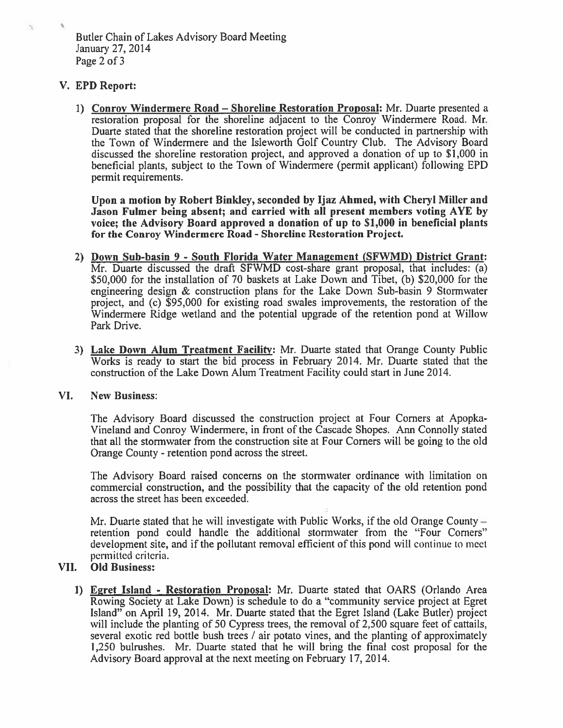# V. EPD Report:

 $\tau_{\rm L}$ 

1) Conroy Windermere Road - Shoreline Restoration Proposal: Mr. Duarte presented a restoration proposal for the shoreline adjacent to the Conroy Windermere Road. Mr. Duarte stated that the shoreline restoration project will be conducted in partnership with the Town of Windermere and the Isleworth Golf Country Club. The Advisory Board discussed the shoreline restoration project, and approved a donation of up to \$1,000 in beneficial plants, subject to the Town of Windermere (permit applicant) following EPD permit requirements.

Upon a motion by Robert Binkley, seconded by Ijaz Ahmed, with Cheryl Miller and Jason Fulmer being absent; and carried with all present members voting AYE by voice; the Advisory Board approved a donation of up to \$1,000 in beneficial plants for the Conroy Windermere Road - Shoreline Restoration Project.

- 2) Down Sub-basin 9 South Florida Water Management (SFWMD) District Grant: Mr. Duarte discussed the draft SFWMD cost-share grant proposal, that includes:  $\overline{a}$ ) \$50,000 for the installation of 70 baskets at Lake Down and Tibet, (b) \$20,000 for the engineering design & construction plans for the Lake Down Sub-basin 9 Stormwater project, and (c) \$95,000 for existing road swales improvements, the restoration of the Windermere Ridge wetland and the potential upgrade of the retention pond at Willow Park Drive.
- 3) Lake Down Alum Treatment Facility: Mr. Duarte stated that Orange County Public Works is ready to start the bid process in February 2014. Mr. Duarte stated that the construction of the Lake Down Alum Treatment Facility could start in June 2014.

#### VI. **New Business:**

The Advisory Board discussed the construction project at Four Corners at Apopka-Vineland and Conroy Windermere, in front of the Cascade Shopes. Ann Connolly stated that all the stormwater from the construction site at Four Corners will be going to the old Orange County - retention pond across the street.

The Advisory Board raised concerns on the stormwater ordinance with limitation on commercial construction, and the possibility that the capacity of the old retention pond across the street has been exceeded.

Mr. Duarte stated that he will investigate with Public Works, if the old Orange County  $$ retention pond could handle the additional stormwater from the "Four Corners" development site, and if the pollutant removal efficient of this pond will continue to meet permitted criteria.

#### **Old Business:** VII.

1) Egret Island - Restoration Proposal: Mr. Duarte stated that OARS (Orlando Area Rowing Society at Lake Down) is schedule to do a "community service project at Egret Island" on April 19, 2014. Mr. Duarte stated that the Egret Island (Lake Butler) project will include the planting of 50 Cypress trees, the removal of 2,500 square feet of cattails, several exotic red bottle bush trees / air potato vines, and the planting of approximately 1,250 bulrushes. Mr. Duarte stated that he will bring the final cost proposal for the Advisory Board approval at the next meeting on February 17, 2014.